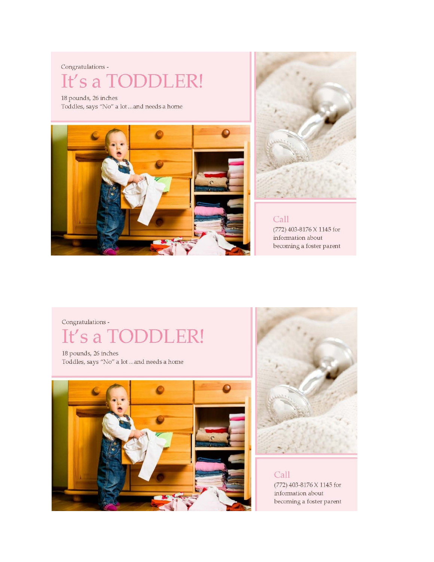#### Congratulations -

### It's a TODD

18 pounds, 26 inches Toddles, says "No" a lot ... and needs a home





Call (772) 403-8176 X 1145 for information about becoming a foster parent

Congratulations -

## It's a TODD

18 pounds, 26 inches Toddles, says "No" a lot ... and needs a home





Call (772) 403-8176 X 1145 for information about becoming a foster parent